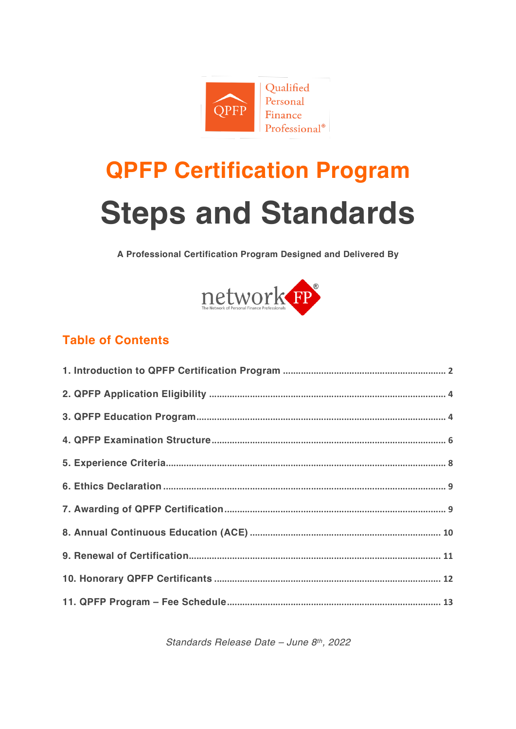

# **QPFP Certification Program Steps and Standards**

A Professional Certification Program Designed and Delivered By



### **Table of Contents**

Standards Release Date - June 8th, 2022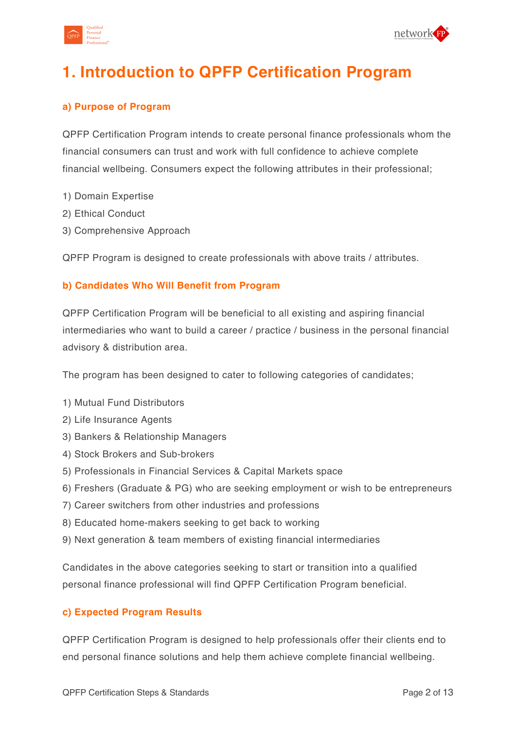



# **1. Introduction to QPFP Certification Program**

### **a) Purpose of Program**

QPFP Certification Program intends to create personal finance professionals whom the financial consumers can trust and work with full confidence to achieve complete financial wellbeing. Consumers expect the following attributes in their professional;

- 1) Domain Expertise
- 2) Ethical Conduct
- 3) Comprehensive Approach

QPFP Program is designed to create professionals with above traits / attributes.

### **b) Candidates Who Will Benefit from Program**

QPFP Certification Program will be beneficial to all existing and aspiring financial intermediaries who want to build a career / practice / business in the personal financial advisory & distribution area.

The program has been designed to cater to following categories of candidates;

- 1) Mutual Fund Distributors
- 2) Life Insurance Agents
- 3) Bankers & Relationship Managers
- 4) Stock Brokers and Sub-brokers
- 5) Professionals in Financial Services & Capital Markets space
- 6) Freshers (Graduate & PG) who are seeking employment or wish to be entrepreneurs
- 7) Career switchers from other industries and professions
- 8) Educated home-makers seeking to get back to working
- 9) Next generation & team members of existing financial intermediaries

Candidates in the above categories seeking to start or transition into a qualified personal finance professional will find QPFP Certification Program beneficial.

#### **c) Expected Program Results**

QPFP Certification Program is designed to help professionals offer their clients end to end personal finance solutions and help them achieve complete financial wellbeing.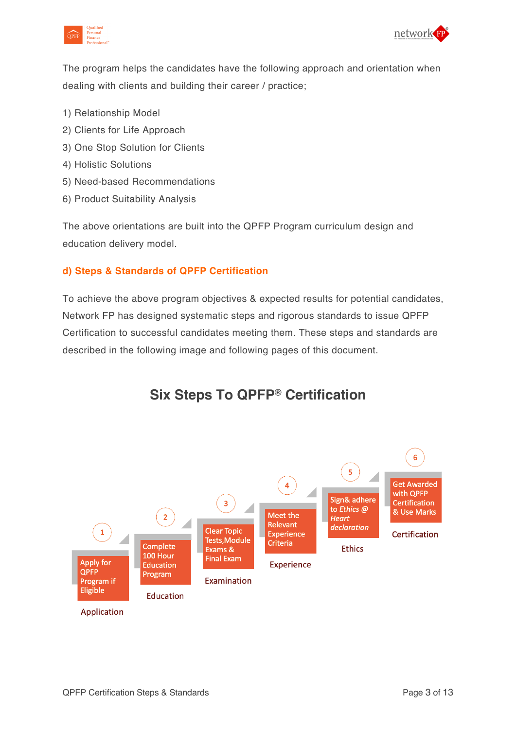



The program helps the candidates have the following approach and orientation when dealing with clients and building their career / practice;

- 1) Relationship Model
- 2) Clients for Life Approach
- 3) One Stop Solution for Clients
- 4) Holistic Solutions
- 5) Need-based Recommendations
- 6) Product Suitability Analysis

The above orientations are built into the QPFP Program curriculum design and education delivery model.

### **d) Steps & Standards of QPFP Certification**

To achieve the above program objectives & expected results for potential candidates, Network FP has designed systematic steps and rigorous standards to issue QPFP Certification to successful candidates meeting them. These steps and standards are described in the following image and following pages of this document.



### **Six Steps To QPFP® Certification**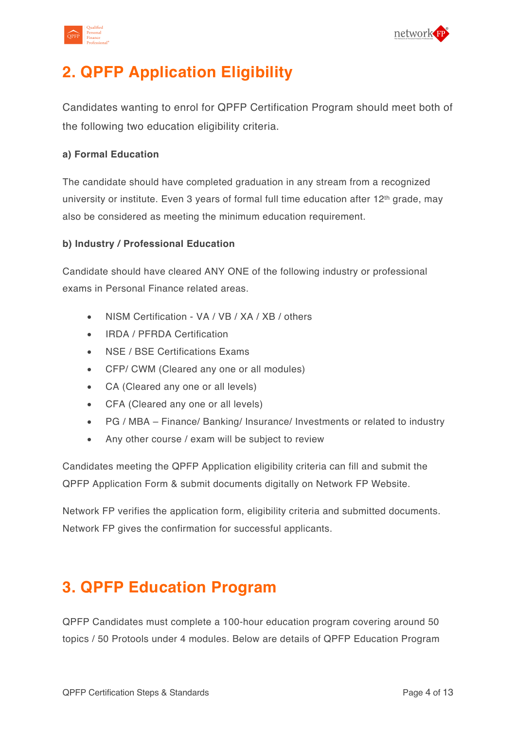



# **2. QPFP Application Eligibility**

Candidates wanting to enrol for QPFP Certification Program should meet both of the following two education eligibility criteria.

### **a) Formal Education**

The candidate should have completed graduation in any stream from a recognized university or institute. Even 3 years of formal full time education after 12<sup>th</sup> grade, may also be considered as meeting the minimum education requirement.

### **b) Industry / Professional Education**

Candidate should have cleared ANY ONE of the following industry or professional exams in Personal Finance related areas.

- NISM Certification VA / VB / XA / XB / others
- IRDA / PFRDA Certification
- NSE / BSE Certifications Exams
- CFP/ CWM (Cleared any one or all modules)
- CA (Cleared any one or all levels)
- CFA (Cleared any one or all levels)
- PG / MBA Finance/ Banking/ Insurance/ Investments or related to industry
- Any other course / exam will be subject to review

Candidates meeting the QPFP Application eligibility criteria can fill and submit the QPFP Application Form & submit documents digitally on Network FP Website.

Network FP verifies the application form, eligibility criteria and submitted documents. Network FP gives the confirmation for successful applicants.

# **3. QPFP Education Program**

QPFP Candidates must complete a 100-hour education program covering around 50 topics / 50 Protools under 4 modules. Below are details of QPFP Education Program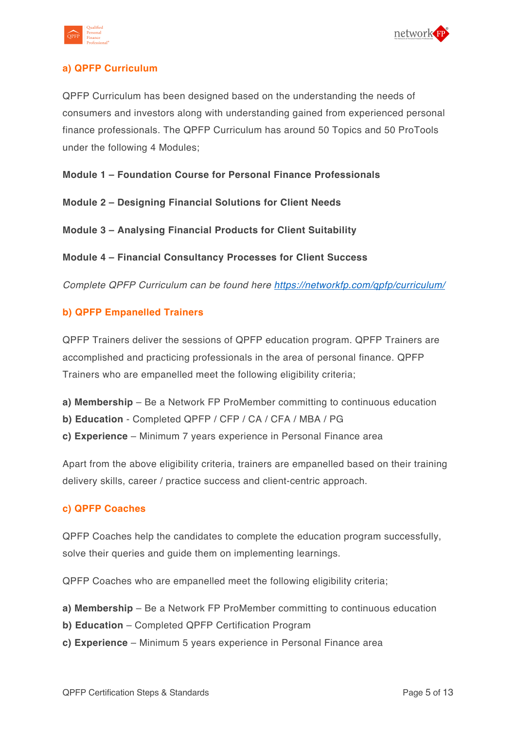



### **a) QPFP Curriculum**

QPFP Curriculum has been designed based on the understanding the needs of consumers and investors along with understanding gained from experienced personal finance professionals. The QPFP Curriculum has around 50 Topics and 50 ProTools under the following 4 Modules;

**Module 1 – Foundation Course for Personal Finance Professionals** 

**Module 2 – Designing Financial Solutions for Client Needs** 

**Module 3 – Analysing Financial Products for Client Suitability** 

**Module 4 – Financial Consultancy Processes for Client Success** 

*Complete QPFP Curriculum can be found here https://networkfp.com/qpfp/curriculum/*

### **b) QPFP Empanelled Trainers**

QPFP Trainers deliver the sessions of QPFP education program. QPFP Trainers are accomplished and practicing professionals in the area of personal finance. QPFP Trainers who are empanelled meet the following eligibility criteria;

- **a) Membership** Be a Network FP ProMember committing to continuous education
- **b) Education** Completed QPFP / CFP / CA / CFA / MBA / PG
- **c) Experience** Minimum 7 years experience in Personal Finance area

Apart from the above eligibility criteria, trainers are empanelled based on their training delivery skills, career / practice success and client-centric approach.

#### **c) QPFP Coaches**

QPFP Coaches help the candidates to complete the education program successfully, solve their queries and guide them on implementing learnings.

QPFP Coaches who are empanelled meet the following eligibility criteria;

- **a) Membership** Be a Network FP ProMember committing to continuous education
- **b) Education** Completed QPFP Certification Program
- **c) Experience** Minimum 5 years experience in Personal Finance area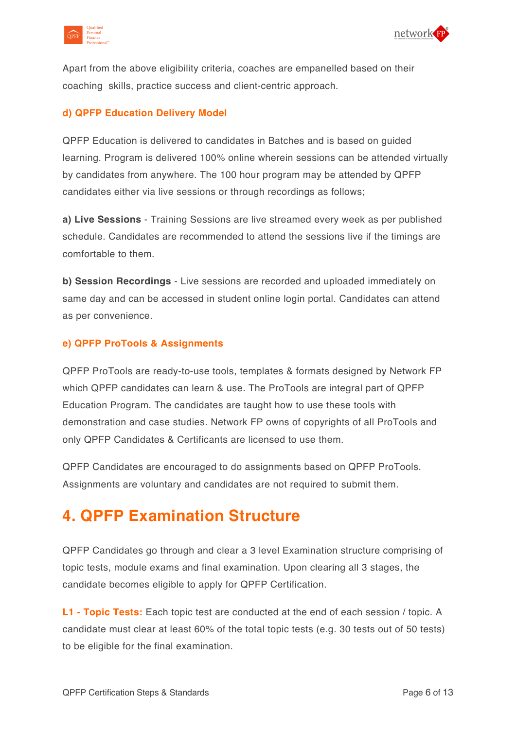



Apart from the above eligibility criteria, coaches are empanelled based on their coaching skills, practice success and client-centric approach.

### **d) QPFP Education Delivery Model**

QPFP Education is delivered to candidates in Batches and is based on guided learning. Program is delivered 100% online wherein sessions can be attended virtually by candidates from anywhere. The 100 hour program may be attended by QPFP candidates either via live sessions or through recordings as follows;

**a) Live Sessions** - Training Sessions are live streamed every week as per published schedule. Candidates are recommended to attend the sessions live if the timings are comfortable to them.

**b) Session Recordings** - Live sessions are recorded and uploaded immediately on same day and can be accessed in student online login portal. Candidates can attend as per convenience.

#### **e) QPFP ProTools & Assignments**

QPFP ProTools are ready-to-use tools, templates & formats designed by Network FP which QPFP candidates can learn & use. The ProTools are integral part of QPFP Education Program. The candidates are taught how to use these tools with demonstration and case studies. Network FP owns of copyrights of all ProTools and only QPFP Candidates & Certificants are licensed to use them.

QPFP Candidates are encouraged to do assignments based on QPFP ProTools. Assignments are voluntary and candidates are not required to submit them.

### **4. QPFP Examination Structure**

QPFP Candidates go through and clear a 3 level Examination structure comprising of topic tests, module exams and final examination. Upon clearing all 3 stages, the candidate becomes eligible to apply for QPFP Certification.

**L1 - Topic Tests:** Each topic test are conducted at the end of each session / topic. A candidate must clear at least 60% of the total topic tests (e.g. 30 tests out of 50 tests) to be eligible for the final examination.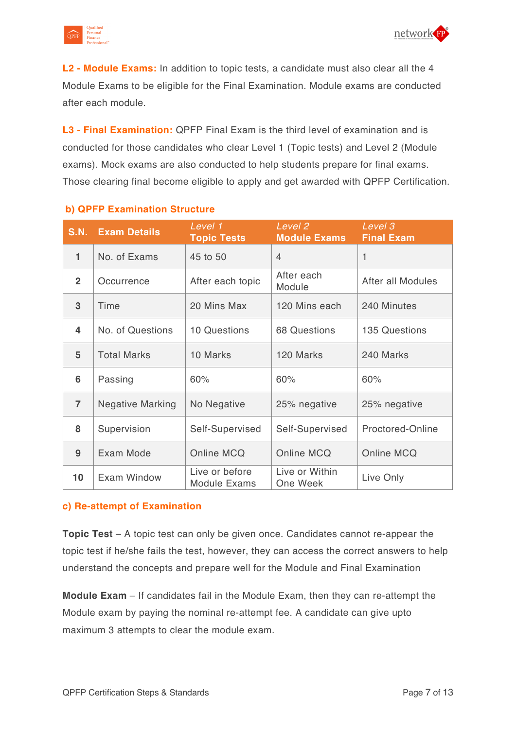



**L2 - Module Exams:** In addition to topic tests, a candidate must also clear all the 4 Module Exams to be eligible for the Final Examination. Module exams are conducted after each module.

**L3 - Final Examination:** QPFP Final Exam is the third level of examination and is conducted for those candidates who clear Level 1 (Topic tests) and Level 2 (Module exams). Mock exams are also conducted to help students prepare for final exams. Those clearing final become eligible to apply and get awarded with QPFP Certification.

| <b>S.N.</b>    | <b>Exam Details</b>     | Level 1<br><b>Topic Tests</b>         | Level <sub>2</sub><br><b>Module Exams</b> | Level 3<br><b>Final Exam</b> |
|----------------|-------------------------|---------------------------------------|-------------------------------------------|------------------------------|
| 1              | No. of Exams            | 45 to 50                              | $\overline{4}$                            | 1                            |
| $\overline{2}$ | Occurrence              | After each topic                      | After each<br>Module                      | After all Modules            |
| 3              | Time                    | 20 Mins Max                           | 120 Mins each                             | 240 Minutes                  |
| 4              | No. of Questions        | <b>10 Questions</b>                   | <b>68 Questions</b>                       | <b>135 Questions</b>         |
| 5              | <b>Total Marks</b>      | 10 Marks                              | 120 Marks                                 | 240 Marks                    |
| 6              | Passing                 | 60%                                   | 60%                                       | 60%                          |
| $\overline{7}$ | <b>Negative Marking</b> | No Negative                           | 25% negative                              | 25% negative                 |
| 8              | Supervision             | Self-Supervised                       | Self-Supervised                           | Proctored-Online             |
| 9              | Exam Mode               | Online MCQ                            | Online MCQ                                | Online MCQ                   |
| 10             | Exam Window             | Live or before<br><b>Module Exams</b> | Live or Within<br>One Week                | Live Only                    |

### **b) QPFP Examination Structure**

#### **c) Re-attempt of Examination**

**Topic Test** – A topic test can only be given once. Candidates cannot re-appear the topic test if he/she fails the test, however, they can access the correct answers to help understand the concepts and prepare well for the Module and Final Examination

**Module Exam** – If candidates fail in the Module Exam, then they can re-attempt the Module exam by paying the nominal re-attempt fee. A candidate can give upto maximum 3 attempts to clear the module exam.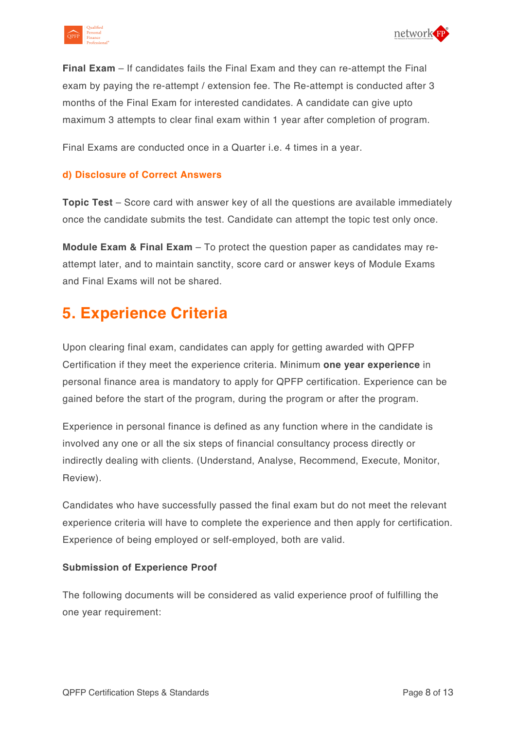



**Final Exam** – If candidates fails the Final Exam and they can re-attempt the Final exam by paying the re-attempt / extension fee. The Re-attempt is conducted after 3 months of the Final Exam for interested candidates. A candidate can give upto maximum 3 attempts to clear final exam within 1 year after completion of program.

Final Exams are conducted once in a Quarter i.e. 4 times in a year.

### **d) Disclosure of Correct Answers**

**Topic Test** – Score card with answer key of all the questions are available immediately once the candidate submits the test. Candidate can attempt the topic test only once.

**Module Exam & Final Exam** – To protect the question paper as candidates may reattempt later, and to maintain sanctity, score card or answer keys of Module Exams and Final Exams will not be shared.

### **5. Experience Criteria**

Upon clearing final exam, candidates can apply for getting awarded with QPFP Certification if they meet the experience criteria. Minimum **one year experience** in personal finance area is mandatory to apply for QPFP certification. Experience can be gained before the start of the program, during the program or after the program.

Experience in personal finance is defined as any function where in the candidate is involved any one or all the six steps of financial consultancy process directly or indirectly dealing with clients. (Understand, Analyse, Recommend, Execute, Monitor, Review).

Candidates who have successfully passed the final exam but do not meet the relevant experience criteria will have to complete the experience and then apply for certification. Experience of being employed or self-employed, both are valid.

#### **Submission of Experience Proof**

The following documents will be considered as valid experience proof of fulfilling the one year requirement: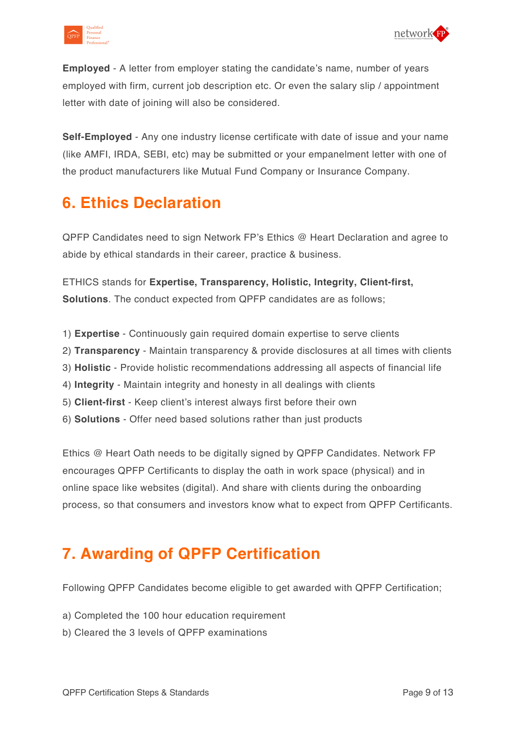



**Employed** - A letter from employer stating the candidate's name, number of years employed with firm, current job description etc. Or even the salary slip / appointment letter with date of joining will also be considered.

**Self-Employed** - Any one industry license certificate with date of issue and your name (like AMFI, IRDA, SEBI, etc) may be submitted or your empanelment letter with one of the product manufacturers like Mutual Fund Company or Insurance Company.

### **6. Ethics Declaration**

QPFP Candidates need to sign Network FP's Ethics @ Heart Declaration and agree to abide by ethical standards in their career, practice & business.

ETHICS stands for **Expertise, Transparency, Holistic, Integrity, Client-first, Solutions**. The conduct expected from QPFP candidates are as follows;

- 1) **Expertise** Continuously gain required domain expertise to serve clients
- 2) **Transparency** Maintain transparency & provide disclosures at all times with clients
- 3) **Holistic** Provide holistic recommendations addressing all aspects of financial life
- 4) **Integrity** Maintain integrity and honesty in all dealings with clients
- 5) **Client-first** Keep client's interest always first before their own
- 6) **Solutions** Offer need based solutions rather than just products

Ethics @ Heart Oath needs to be digitally signed by QPFP Candidates. Network FP encourages QPFP Certificants to display the oath in work space (physical) and in online space like websites (digital). And share with clients during the onboarding process, so that consumers and investors know what to expect from QPFP Certificants.

# **7. Awarding of QPFP Certification**

Following QPFP Candidates become eligible to get awarded with QPFP Certification;

- a) Completed the 100 hour education requirement
- b) Cleared the 3 levels of QPFP examinations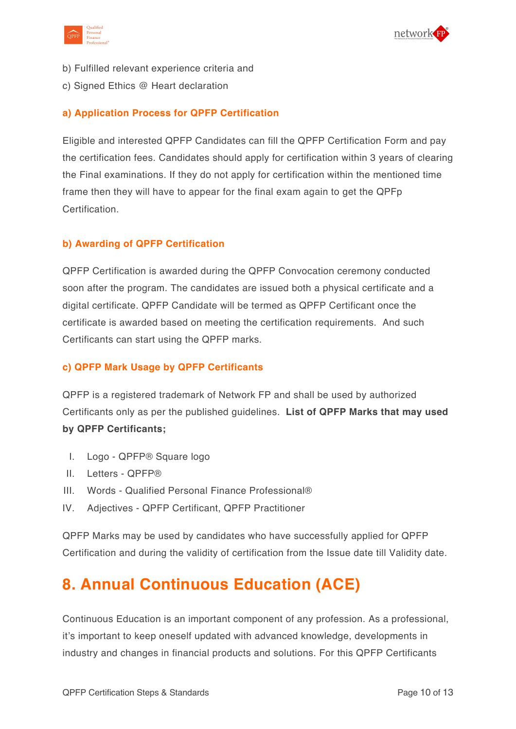



- b) Fulfilled relevant experience criteria and
- c) Signed Ethics @ Heart declaration

### **a) Application Process for QPFP Certification**

Eligible and interested QPFP Candidates can fill the QPFP Certification Form and pay the certification fees. Candidates should apply for certification within 3 years of clearing the Final examinations. If they do not apply for certification within the mentioned time frame then they will have to appear for the final exam again to get the QPFp Certification.

### **b) Awarding of QPFP Certification**

QPFP Certification is awarded during the QPFP Convocation ceremony conducted soon after the program. The candidates are issued both a physical certificate and a digital certificate. QPFP Candidate will be termed as QPFP Certificant once the certificate is awarded based on meeting the certification requirements. And such Certificants can start using the QPFP marks.

#### **c) QPFP Mark Usage by QPFP Certificants**

QPFP is a registered trademark of Network FP and shall be used by authorized Certificants only as per the published guidelines. **List of QPFP Marks that may used by QPFP Certificants;**

- I. Logo QPFP® Square logo
- II. Letters QPFP®
- III. Words Qualified Personal Finance Professional®
- IV. Adjectives QPFP Certificant, QPFP Practitioner

QPFP Marks may be used by candidates who have successfully applied for QPFP Certification and during the validity of certification from the Issue date till Validity date.

# **8. Annual Continuous Education (ACE)**

Continuous Education is an important component of any profession. As a professional, it's important to keep oneself updated with advanced knowledge, developments in industry and changes in financial products and solutions. For this QPFP Certificants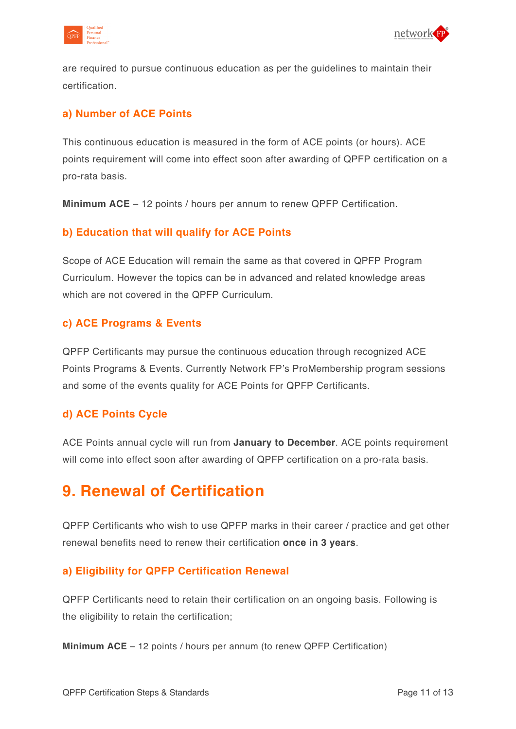



are required to pursue continuous education as per the guidelines to maintain their certification.

### **a) Number of ACE Points**

This continuous education is measured in the form of ACE points (or hours). ACE points requirement will come into effect soon after awarding of QPFP certification on a pro-rata basis.

**Minimum ACE** – 12 points / hours per annum to renew QPFP Certification.

### **b) Education that will qualify for ACE Points**

Scope of ACE Education will remain the same as that covered in QPFP Program Curriculum. However the topics can be in advanced and related knowledge areas which are not covered in the OPFP Curriculum.

### **c) ACE Programs & Events**

QPFP Certificants may pursue the continuous education through recognized ACE Points Programs & Events. Currently Network FP's ProMembership program sessions and some of the events quality for ACE Points for QPFP Certificants.

### **d) ACE Points Cycle**

ACE Points annual cycle will run from **January to December**. ACE points requirement will come into effect soon after awarding of QPFP certification on a pro-rata basis.

### **9. Renewal of Certification**

QPFP Certificants who wish to use QPFP marks in their career / practice and get other renewal benefits need to renew their certification **once in 3 years**.

### **a) Eligibility for QPFP Certification Renewal**

QPFP Certificants need to retain their certification on an ongoing basis. Following is the eligibility to retain the certification;

**Minimum ACE** – 12 points / hours per annum (to renew QPFP Certification)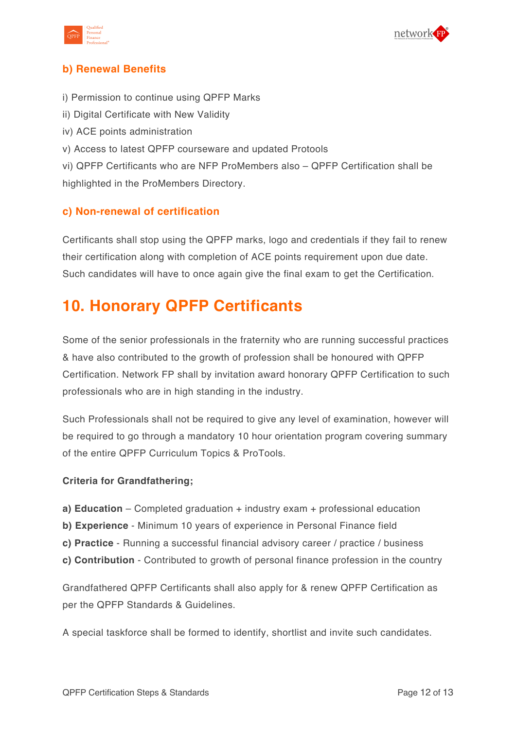



### **b) Renewal Benefits**

- i) Permission to continue using QPFP Marks
- ii) Digital Certificate with New Validity
- iv) ACE points administration
- v) Access to latest QPFP courseware and updated Protools

vi) QPFP Certificants who are NFP ProMembers also – QPFP Certification shall be highlighted in the ProMembers Directory.

### **c) Non-renewal of certification**

Certificants shall stop using the QPFP marks, logo and credentials if they fail to renew their certification along with completion of ACE points requirement upon due date. Such candidates will have to once again give the final exam to get the Certification.

### **10. Honorary QPFP Certificants**

Some of the senior professionals in the fraternity who are running successful practices & have also contributed to the growth of profession shall be honoured with QPFP Certification. Network FP shall by invitation award honorary QPFP Certification to such professionals who are in high standing in the industry.

Such Professionals shall not be required to give any level of examination, however will be required to go through a mandatory 10 hour orientation program covering summary of the entire QPFP Curriculum Topics & ProTools.

#### **Criteria for Grandfathering;**

- **a) Education** Completed graduation + industry exam + professional education
- **b) Experience** Minimum 10 years of experience in Personal Finance field
- **c) Practice** Running a successful financial advisory career / practice / business
- **c) Contribution** Contributed to growth of personal finance profession in the country

Grandfathered QPFP Certificants shall also apply for & renew QPFP Certification as per the QPFP Standards & Guidelines.

A special taskforce shall be formed to identify, shortlist and invite such candidates.